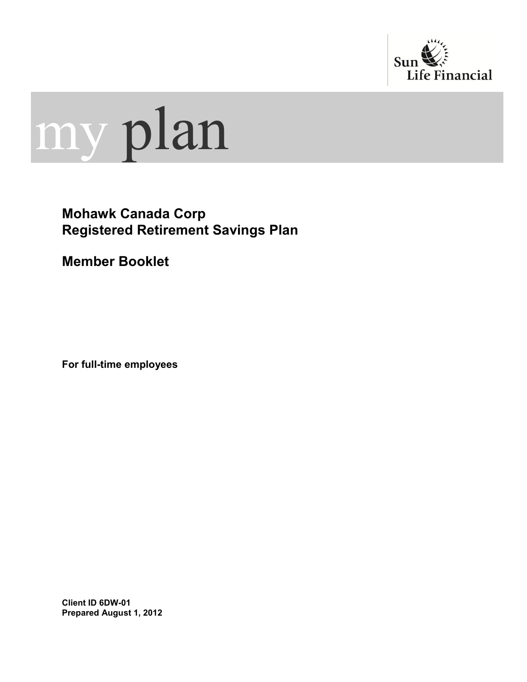



## **Mohawk Canada Corp Registered Retirement Savings Plan**

**Member Booklet**

**For full-time employees**

**Client ID 6DW-01 Prepared August 1, 2012**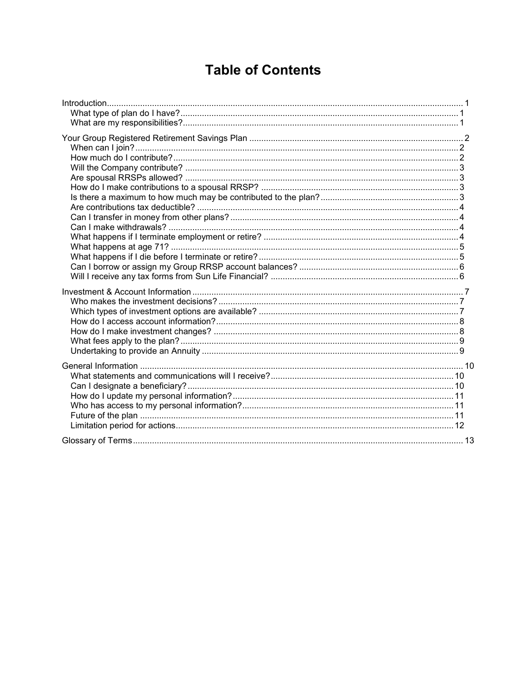# **Table of Contents**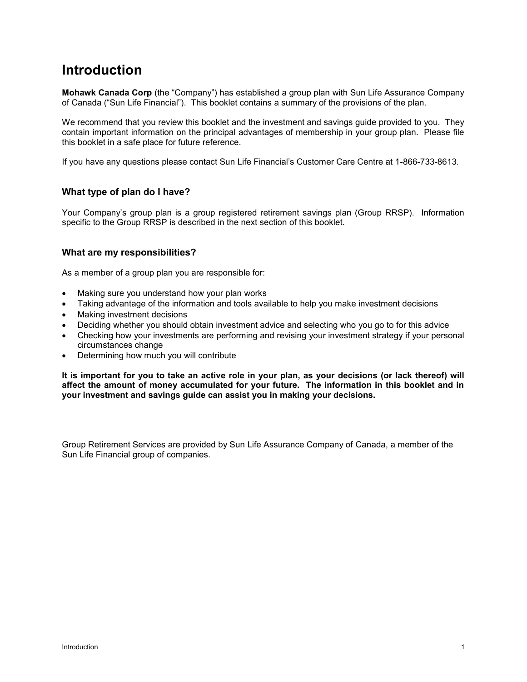## <span id="page-2-0"></span>**Introduction**

**Mohawk Canada Corp** (the "Company") has established a group plan with Sun Life Assurance Company of Canada ("Sun Life Financial"). This booklet contains a summary of the provisions of the plan.

We recommend that you review this booklet and the investment and savings guide provided to you. They contain important information on the principal advantages of membership in your group plan. Please file this booklet in a safe place for future reference.

If you have any questions please contact Sun Life Financial"s Customer Care Centre at 1-866-733-8613.

## <span id="page-2-1"></span>**What type of plan do I have?**

Your Company"s group plan is a group registered retirement savings plan (Group RRSP). Information specific to the Group RRSP is described in the next section of this booklet.

## <span id="page-2-2"></span>**What are my responsibilities?**

As a member of a group plan you are responsible for:

- Making sure you understand how your plan works
- Taking advantage of the information and tools available to help you make investment decisions
- Making investment decisions
- Deciding whether you should obtain investment advice and selecting who you go to for this advice
- Checking how your investments are performing and revising your investment strategy if your personal circumstances change
- Determining how much you will contribute

**It is important for you to take an active role in your plan, as your decisions (or lack thereof) will affect the amount of money accumulated for your future. The information in this booklet and in your investment and savings guide can assist you in making your decisions.**

Group Retirement Services are provided by Sun Life Assurance Company of Canada, a member of the Sun Life Financial group of companies.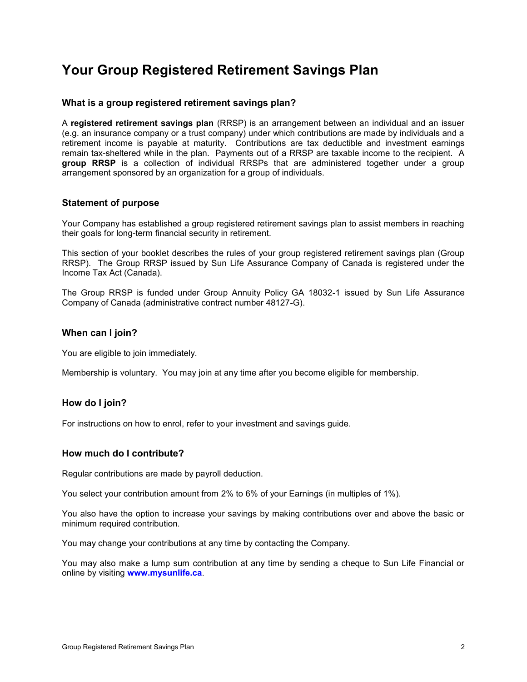## <span id="page-3-0"></span>**Your Group Registered Retirement Savings Plan**

#### **What is a group registered retirement savings plan?**

A **registered retirement savings plan** (RRSP) is an arrangement between an individual and an issuer (e.g. an insurance company or a trust company) under which contributions are made by individuals and a retirement income is payable at maturity. Contributions are tax deductible and investment earnings remain tax-sheltered while in the plan. Payments out of a RRSP are taxable income to the recipient. A **group RRSP** is a collection of individual RRSPs that are administered together under a group arrangement sponsored by an organization for a group of individuals.

#### **Statement of purpose**

Your Company has established a group registered retirement savings plan to assist members in reaching their goals for long-term financial security in retirement.

This section of your booklet describes the rules of your group registered retirement savings plan (Group RRSP). The Group RRSP issued by Sun Life Assurance Company of Canada is registered under the Income Tax Act (Canada).

The Group RRSP is funded under Group Annuity Policy GA 18032-1 issued by Sun Life Assurance Company of Canada (administrative contract number 48127-G).

#### <span id="page-3-1"></span>**When can I join?**

You are eligible to join immediately.

Membership is voluntary. You may join at any time after you become eligible for membership.

## **How do I join?**

For instructions on how to enrol, refer to your investment and savings guide.

#### <span id="page-3-2"></span>**How much do I contribute?**

Regular contributions are made by payroll deduction.

You select your contribution amount from 2% to 6% of your Earnings (in multiples of 1%).

You also have the option to increase your savings by making contributions over and above the basic or minimum required contribution.

You may change your contributions at any time by contacting the Company.

You may also make a lump sum contribution at any time by sending a cheque to Sun Life Financial or online by visiting **[www.mysunlife.ca](http://www.sunlife.ca/member)**.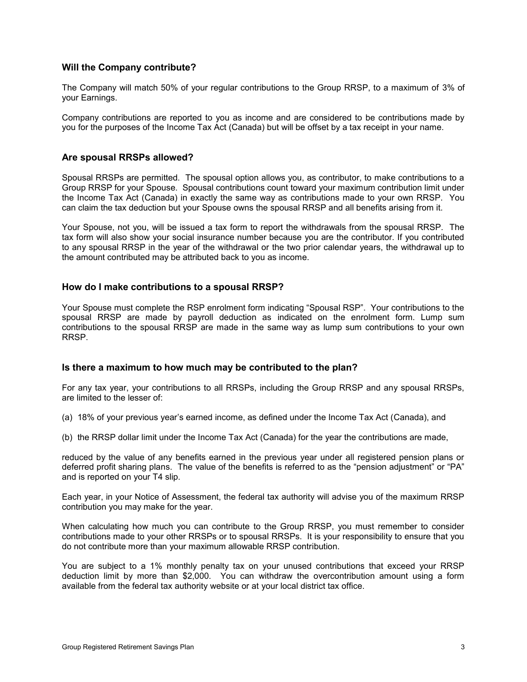## <span id="page-4-0"></span>**Will the Company contribute?**

The Company will match 50% of your regular contributions to the Group RRSP, to a maximum of 3% of your Earnings.

Company contributions are reported to you as income and are considered to be contributions made by you for the purposes of the Income Tax Act (Canada) but will be offset by a tax receipt in your name.

### <span id="page-4-1"></span>**Are spousal RRSPs allowed?**

Spousal RRSPs are permitted. The spousal option allows you, as contributor, to make contributions to a Group RRSP for your Spouse. Spousal contributions count toward your maximum contribution limit under the Income Tax Act (Canada) in exactly the same way as contributions made to your own RRSP. You can claim the tax deduction but your Spouse owns the spousal RRSP and all benefits arising from it.

Your Spouse, not you, will be issued a tax form to report the withdrawals from the spousal RRSP. The tax form will also show your social insurance number because you are the contributor. If you contributed to any spousal RRSP in the year of the withdrawal or the two prior calendar years, the withdrawal up to the amount contributed may be attributed back to you as income.

#### <span id="page-4-2"></span>**How do I make contributions to a spousal RRSP?**

Your Spouse must complete the RSP enrolment form indicating "Spousal RSP". Your contributions to the spousal RRSP are made by payroll deduction as indicated on the enrolment form. Lump sum contributions to the spousal RRSP are made in the same way as lump sum contributions to your own RRSP.

#### <span id="page-4-3"></span>**Is there a maximum to how much may be contributed to the plan?**

For any tax year, your contributions to all RRSPs, including the Group RRSP and any spousal RRSPs, are limited to the lesser of:

- (a) 18% of your previous year"s earned income, as defined under the Income Tax Act (Canada), and
- (b) the RRSP dollar limit under the Income Tax Act (Canada) for the year the contributions are made,

reduced by the value of any benefits earned in the previous year under all registered pension plans or deferred profit sharing plans. The value of the benefits is referred to as the "pension adjustment" or "PA" and is reported on your T4 slip.

Each year, in your Notice of Assessment, the federal tax authority will advise you of the maximum RRSP contribution you may make for the year.

When calculating how much you can contribute to the Group RRSP, you must remember to consider contributions made to your other RRSPs or to spousal RRSPs. It is your responsibility to ensure that you do not contribute more than your maximum allowable RRSP contribution.

You are subject to a 1% monthly penalty tax on your unused contributions that exceed your RRSP deduction limit by more than \$2,000. You can withdraw the overcontribution amount using a form available from the federal tax authority website or at your local district tax office.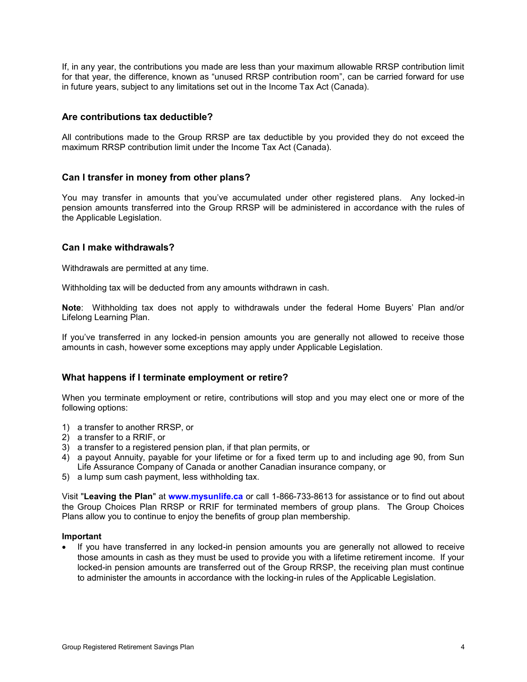If, in any year, the contributions you made are less than your maximum allowable RRSP contribution limit for that year, the difference, known as "unused RRSP contribution room", can be carried forward for use in future years, subject to any limitations set out in the Income Tax Act (Canada).

### <span id="page-5-0"></span>**Are contributions tax deductible?**

All contributions made to the Group RRSP are tax deductible by you provided they do not exceed the maximum RRSP contribution limit under the Income Tax Act (Canada).

#### <span id="page-5-1"></span>**Can I transfer in money from other plans?**

You may transfer in amounts that you"ve accumulated under other registered plans. Any locked-in pension amounts transferred into the Group RRSP will be administered in accordance with the rules of the Applicable Legislation.

#### <span id="page-5-2"></span>**Can I make withdrawals?**

Withdrawals are permitted at any time.

Withholding tax will be deducted from any amounts withdrawn in cash.

**Note**: Withholding tax does not apply to withdrawals under the federal Home Buyers" Plan and/or Lifelong Learning Plan.

If you"ve transferred in any locked-in pension amounts you are generally not allowed to receive those amounts in cash, however some exceptions may apply under Applicable Legislation.

## <span id="page-5-3"></span>**What happens if I terminate employment or retire?**

When you terminate employment or retire, contributions will stop and you may elect one or more of the following options:

- 1) a transfer to another RRSP, or
- 2) a transfer to a RRIF, or
- 3) a transfer to a registered pension plan, if that plan permits, or
- 4) a payout Annuity, payable for your lifetime or for a fixed term up to and including age 90, from Sun Life Assurance Company of Canada or another Canadian insurance company, or
- 5) a lump sum cash payment, less withholding tax.

Visit "**Leaving the Plan**" at **[www.mysunlife.ca](http://www.sunlife.ca/member)** or call 1-866-733-8613 for assistance or to find out about the Group Choices Plan RRSP or RRIF for terminated members of group plans. The Group Choices Plans allow you to continue to enjoy the benefits of group plan membership.

#### **Important**

 If you have transferred in any locked-in pension amounts you are generally not allowed to receive those amounts in cash as they must be used to provide you with a lifetime retirement income. If your locked-in pension amounts are transferred out of the Group RRSP, the receiving plan must continue to administer the amounts in accordance with the locking-in rules of the Applicable Legislation.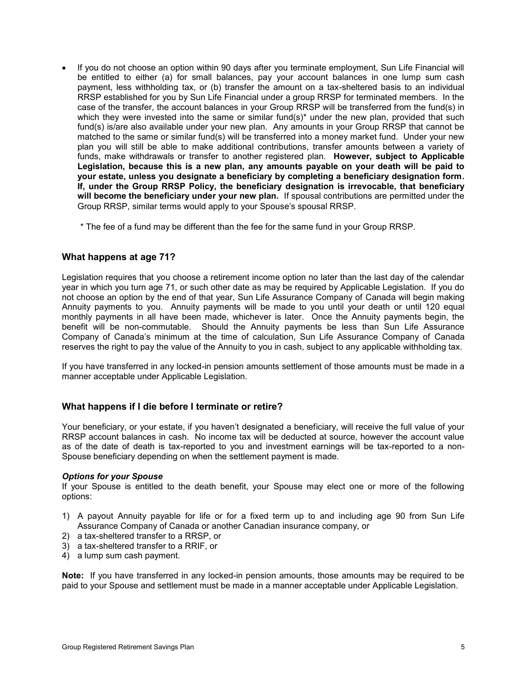If you do not choose an option within 90 days after you terminate employment, Sun Life Financial will be entitled to either (a) for small balances, pay your account balances in one lump sum cash payment, less withholding tax, or (b) transfer the amount on a tax-sheltered basis to an individual RRSP established for you by Sun Life Financial under a group RRSP for terminated members. In the case of the transfer, the account balances in your Group RRSP will be transferred from the fund(s) in which they were invested into the same or similar fund(s)<sup>\*</sup> under the new plan, provided that such fund(s) is/are also available under your new plan. Any amounts in your Group RRSP that cannot be matched to the same or similar fund(s) will be transferred into a money market fund. Under your new plan you will still be able to make additional contributions, transfer amounts between a variety of funds, make withdrawals or transfer to another registered plan. **However, subject to Applicable Legislation, because this is a new plan, any amounts payable on your death will be paid to your estate, unless you designate a beneficiary by completing a beneficiary designation form. If, under the Group RRSP Policy, the beneficiary designation is irrevocable, that beneficiary will become the beneficiary under your new plan.** If spousal contributions are permitted under the Group RRSP, similar terms would apply to your Spouse"s spousal RRSP.

\* The fee of a fund may be different than the fee for the same fund in your Group RRSP.

#### <span id="page-6-0"></span>**What happens at age 71?**

Legislation requires that you choose a retirement income option no later than the last day of the calendar year in which you turn age 71, or such other date as may be required by Applicable Legislation. If you do not choose an option by the end of that year, Sun Life Assurance Company of Canada will begin making Annuity payments to you. Annuity payments will be made to you until your death or until 120 equal monthly payments in all have been made, whichever is later. Once the Annuity payments begin, the benefit will be non-commutable. Should the Annuity payments be less than Sun Life Assurance Company of Canada"s minimum at the time of calculation, Sun Life Assurance Company of Canada reserves the right to pay the value of the Annuity to you in cash, subject to any applicable withholding tax.

If you have transferred in any locked-in pension amounts settlement of those amounts must be made in a manner acceptable under Applicable Legislation.

## <span id="page-6-1"></span>**What happens if I die before I terminate or retire?**

Your beneficiary, or your estate, if you haven"t designated a beneficiary, will receive the full value of your RRSP account balances in cash. No income tax will be deducted at source, however the account value as of the date of death is tax-reported to you and investment earnings will be tax-reported to a non-Spouse beneficiary depending on when the settlement payment is made.

#### *Options for your Spouse*

If your Spouse is entitled to the death benefit, your Spouse may elect one or more of the following options:

- 1) A payout Annuity payable for life or for a fixed term up to and including age 90 from Sun Life Assurance Company of Canada or another Canadian insurance company, or
- 2) a tax-sheltered transfer to a RRSP, or
- 3) a tax-sheltered transfer to a RRIF, or
- 4) a lump sum cash payment.

**Note:** If you have transferred in any locked-in pension amounts, those amounts may be required to be paid to your Spouse and settlement must be made in a manner acceptable under Applicable Legislation.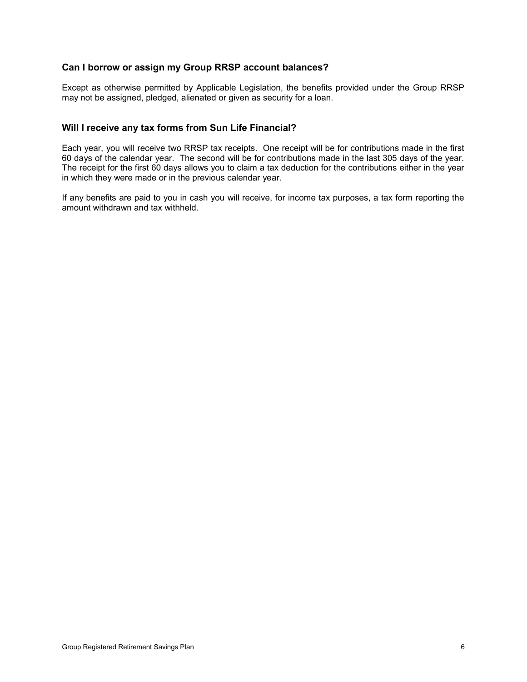## <span id="page-7-0"></span>**Can I borrow or assign my Group RRSP account balances?**

Except as otherwise permitted by Applicable Legislation, the benefits provided under the Group RRSP may not be assigned, pledged, alienated or given as security for a loan.

## <span id="page-7-1"></span>**Will I receive any tax forms from Sun Life Financial?**

Each year, you will receive two RRSP tax receipts. One receipt will be for contributions made in the first 60 days of the calendar year. The second will be for contributions made in the last 305 days of the year. The receipt for the first 60 days allows you to claim a tax deduction for the contributions either in the year in which they were made or in the previous calendar year.

If any benefits are paid to you in cash you will receive, for income tax purposes, a tax form reporting the amount withdrawn and tax withheld.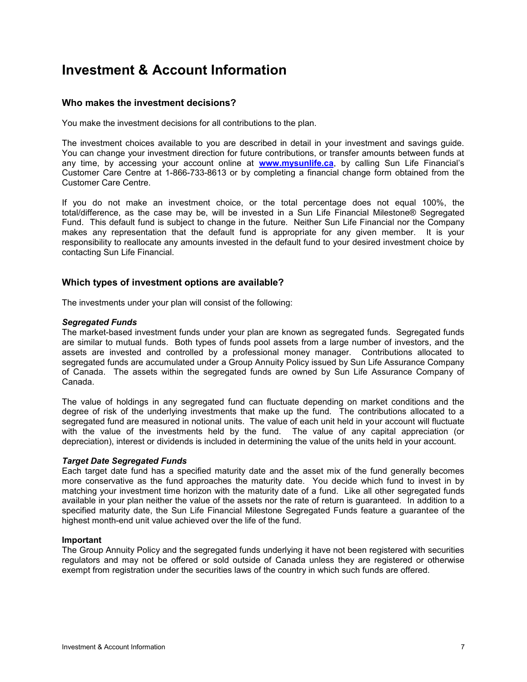## <span id="page-8-0"></span>**Investment & Account Information**

## <span id="page-8-1"></span>**Who makes the investment decisions?**

You make the investment decisions for all contributions to the plan.

The investment choices available to you are described in detail in your investment and savings guide. You can change your investment direction for future contributions, or transfer amounts between funds at any time, by accessing your account online at **[www.mysunlife.ca](http://www.sunlife.ca/member)**, by calling Sun Life Financial"s Customer Care Centre at 1-866-733-8613 or by completing a financial change form obtained from the Customer Care Centre.

If you do not make an investment choice, or the total percentage does not equal 100%, the total/difference, as the case may be, will be invested in a Sun Life Financial Milestone® Segregated Fund. This default fund is subject to change in the future. Neither Sun Life Financial nor the Company makes any representation that the default fund is appropriate for any given member. It is your responsibility to reallocate any amounts invested in the default fund to your desired investment choice by contacting Sun Life Financial.

## <span id="page-8-2"></span>**Which types of investment options are available?**

The investments under your plan will consist of the following:

#### *Segregated Funds*

The market-based investment funds under your plan are known as segregated funds. Segregated funds are similar to mutual funds. Both types of funds pool assets from a large number of investors, and the assets are invested and controlled by a professional money manager. Contributions allocated to segregated funds are accumulated under a Group Annuity Policy issued by Sun Life Assurance Company of Canada. The assets within the segregated funds are owned by Sun Life Assurance Company of Canada.

The value of holdings in any segregated fund can fluctuate depending on market conditions and the degree of risk of the underlying investments that make up the fund. The contributions allocated to a segregated fund are measured in notional units. The value of each unit held in your account will fluctuate with the value of the investments held by the fund. The value of any capital appreciation (or depreciation), interest or dividends is included in determining the value of the units held in your account.

#### *Target Date Segregated Funds*

Each target date fund has a specified maturity date and the asset mix of the fund generally becomes more conservative as the fund approaches the maturity date. You decide which fund to invest in by matching your investment time horizon with the maturity date of a fund. Like all other segregated funds available in your plan neither the value of the assets nor the rate of return is guaranteed. In addition to a specified maturity date, the Sun Life Financial Milestone Segregated Funds feature a guarantee of the highest month-end unit value achieved over the life of the fund.

#### **Important**

The Group Annuity Policy and the segregated funds underlying it have not been registered with securities regulators and may not be offered or sold outside of Canada unless they are registered or otherwise exempt from registration under the securities laws of the country in which such funds are offered.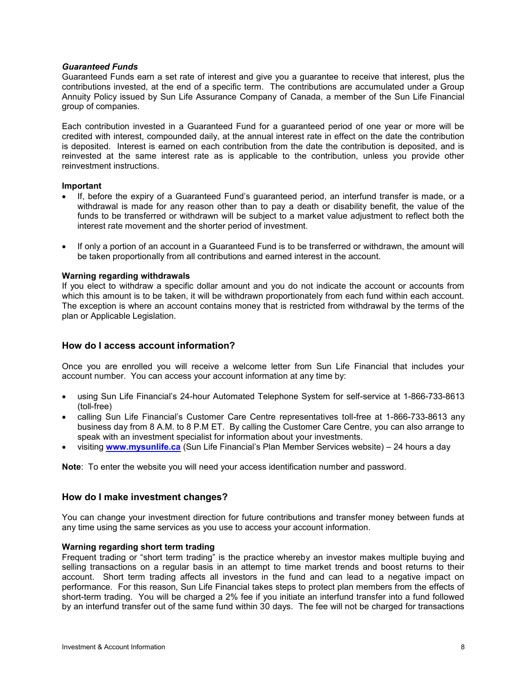#### *Guaranteed Funds*

Guaranteed Funds earn a set rate of interest and give you a guarantee to receive that interest, plus the contributions invested, at the end of a specific term. The contributions are accumulated under a Group Annuity Policy issued by Sun Life Assurance Company of Canada, a member of the Sun Life Financial group of companies.

Each contribution invested in a Guaranteed Fund for a guaranteed period of one year or more will be credited with interest, compounded daily, at the annual interest rate in effect on the date the contribution is deposited. Interest is earned on each contribution from the date the contribution is deposited, and is reinvested at the same interest rate as is applicable to the contribution, unless you provide other reinvestment instructions.

#### **Important**

- If, before the expiry of a Guaranteed Fund"s guaranteed period, an interfund transfer is made, or a withdrawal is made for any reason other than to pay a death or disability benefit, the value of the funds to be transferred or withdrawn will be subject to a market value adjustment to reflect both the interest rate movement and the shorter period of investment.
- If only a portion of an account in a Guaranteed Fund is to be transferred or withdrawn, the amount will be taken proportionally from all contributions and earned interest in the account.

#### **Warning regarding withdrawals**

If you elect to withdraw a specific dollar amount and you do not indicate the account or accounts from which this amount is to be taken, it will be withdrawn proportionately from each fund within each account. The exception is where an account contains money that is restricted from withdrawal by the terms of the plan or Applicable Legislation.

#### <span id="page-9-0"></span>**How do I access account information?**

Once you are enrolled you will receive a welcome letter from Sun Life Financial that includes your account number. You can access your account information at any time by:

- using Sun Life Financial"s 24-hour Automated Telephone System for self-service at 1-866-733-8613 (toll-free)
- calling Sun Life Financial's Customer Care Centre representatives toll-free at 1-866-733-8613 any business day from 8 A.M. to 8 P.M ET. By calling the Customer Care Centre, you can also arrange to speak with an investment specialist for information about your investments.
- visiting **[www.mysunlife.ca](http://www.sunlife.ca/member)** (Sun Life Financial"s Plan Member Services website) 24 hours a day

**Note**: To enter the website you will need your access identification number and password.

#### <span id="page-9-1"></span>**How do I make investment changes?**

You can change your investment direction for future contributions and transfer money between funds at any time using the same services as you use to access your account information.

#### **Warning regarding short term trading**

Frequent trading or "short term trading" is the practice whereby an investor makes multiple buying and selling transactions on a regular basis in an attempt to time market trends and boost returns to their account. Short term trading affects all investors in the fund and can lead to a negative impact on performance. For this reason, Sun Life Financial takes steps to protect plan members from the effects of short-term trading. You will be charged a 2% fee if you initiate an interfund transfer into a fund followed by an interfund transfer out of the same fund within 30 days. The fee will not be charged for transactions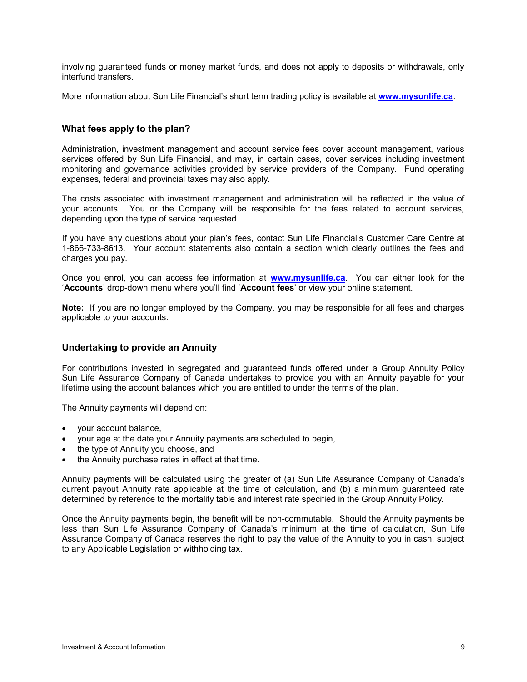involving guaranteed funds or money market funds, and does not apply to deposits or withdrawals, only interfund transfers.

More information about Sun Life Financial"s short term trading policy is available at **[www.mysunlife.ca](http://www.sunlife.ca/member)**.

### <span id="page-10-0"></span>**What fees apply to the plan?**

Administration, investment management and account service fees cover account management, various services offered by Sun Life Financial, and may, in certain cases, cover services including investment monitoring and governance activities provided by service providers of the Company. Fund operating expenses, federal and provincial taxes may also apply.

The costs associated with investment management and administration will be reflected in the value of your accounts. You or the Company will be responsible for the fees related to account services, depending upon the type of service requested.

If you have any questions about your plan"s fees, contact Sun Life Financial"s Customer Care Centre at 1-866-733-8613. Your account statements also contain a section which clearly outlines the fees and charges you pay.

Once you enrol, you can access fee information at **[www.mysunlife.ca](http://www.sunlife.ca/member)**. You can either look for the "**Accounts**" drop-down menu where you"ll find "**Account fees**" or view your online statement.

**Note:** If you are no longer employed by the Company, you may be responsible for all fees and charges applicable to your accounts.

#### <span id="page-10-1"></span>**Undertaking to provide an Annuity**

For contributions invested in segregated and guaranteed funds offered under a Group Annuity Policy Sun Life Assurance Company of Canada undertakes to provide you with an Annuity payable for your lifetime using the account balances which you are entitled to under the terms of the plan.

The Annuity payments will depend on:

- your account balance,
- your age at the date your Annuity payments are scheduled to begin,
- the type of Annuity you choose, and
- the Annuity purchase rates in effect at that time.

Annuity payments will be calculated using the greater of (a) Sun Life Assurance Company of Canada"s current payout Annuity rate applicable at the time of calculation, and (b) a minimum guaranteed rate determined by reference to the mortality table and interest rate specified in the Group Annuity Policy.

Once the Annuity payments begin, the benefit will be non-commutable. Should the Annuity payments be less than Sun Life Assurance Company of Canada"s minimum at the time of calculation, Sun Life Assurance Company of Canada reserves the right to pay the value of the Annuity to you in cash, subject to any Applicable Legislation or withholding tax.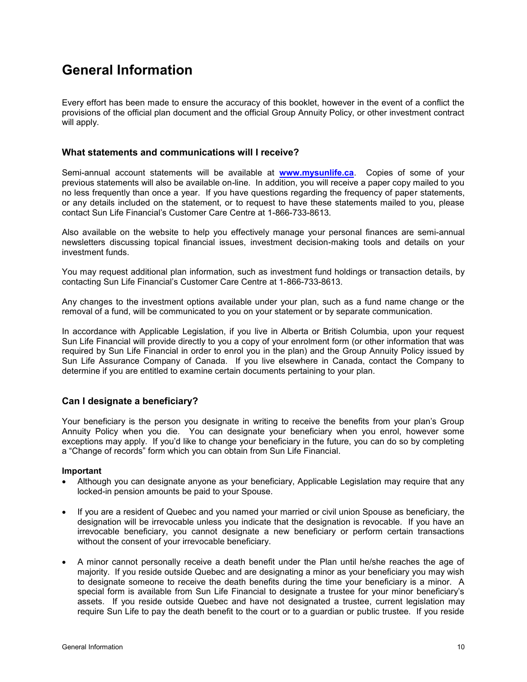## <span id="page-11-0"></span>**General Information**

Every effort has been made to ensure the accuracy of this booklet, however in the event of a conflict the provisions of the official plan document and the official Group Annuity Policy, or other investment contract will apply.

### <span id="page-11-1"></span>**What statements and communications will I receive?**

Semi-annual account statements will be available at **[www.mysunlife.ca](http://www.sunlife.ca/member)**. Copies of some of your previous statements will also be available on-line. In addition, you will receive a paper copy mailed to you no less frequently than once a year. If you have questions regarding the frequency of paper statements, or any details included on the statement, or to request to have these statements mailed to you, please contact Sun Life Financial"s Customer Care Centre at 1-866-733-8613.

Also available on the website to help you effectively manage your personal finances are semi-annual newsletters discussing topical financial issues, investment decision-making tools and details on your investment funds.

You may request additional plan information, such as investment fund holdings or transaction details, by contacting Sun Life Financial"s Customer Care Centre at 1-866-733-8613.

Any changes to the investment options available under your plan, such as a fund name change or the removal of a fund, will be communicated to you on your statement or by separate communication.

In accordance with Applicable Legislation, if you live in Alberta or British Columbia, upon your request Sun Life Financial will provide directly to you a copy of your enrolment form (or other information that was required by Sun Life Financial in order to enrol you in the plan) and the Group Annuity Policy issued by Sun Life Assurance Company of Canada. If you live elsewhere in Canada, contact the Company to determine if you are entitled to examine certain documents pertaining to your plan.

## <span id="page-11-2"></span>**Can I designate a beneficiary?**

Your beneficiary is the person you designate in writing to receive the benefits from your plan"s Group Annuity Policy when you die. You can designate your beneficiary when you enrol, however some exceptions may apply. If you"d like to change your beneficiary in the future, you can do so by completing a "Change of records" form which you can obtain from Sun Life Financial.

#### **Important**

- Although you can designate anyone as your beneficiary, Applicable Legislation may require that any locked-in pension amounts be paid to your Spouse.
- If you are a resident of Quebec and you named your married or civil union Spouse as beneficiary, the designation will be irrevocable unless you indicate that the designation is revocable. If you have an irrevocable beneficiary, you cannot designate a new beneficiary or perform certain transactions without the consent of your irrevocable beneficiary.
- A minor cannot personally receive a death benefit under the Plan until he/she reaches the age of majority. If you reside outside Quebec and are designating a minor as your beneficiary you may wish to designate someone to receive the death benefits during the time your beneficiary is a minor. A special form is available from Sun Life Financial to designate a trustee for your minor beneficiary's assets. If you reside outside Quebec and have not designated a trustee, current legislation may require Sun Life to pay the death benefit to the court or to a guardian or public trustee. If you reside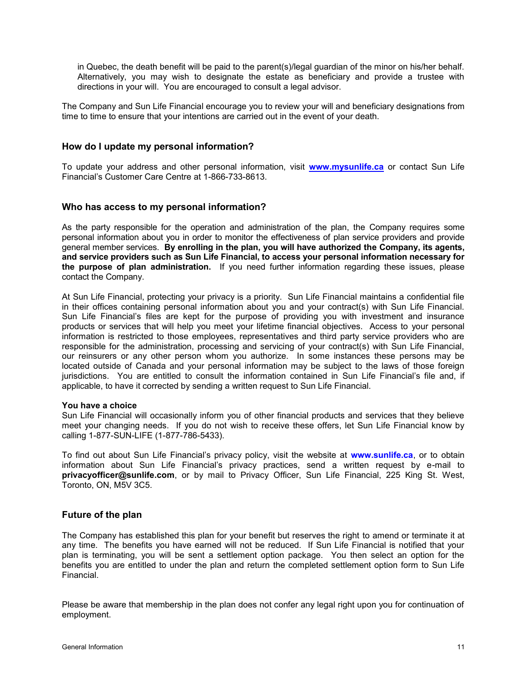in Quebec, the death benefit will be paid to the parent(s)/legal guardian of the minor on his/her behalf. Alternatively, you may wish to designate the estate as beneficiary and provide a trustee with directions in your will. You are encouraged to consult a legal advisor.

The Company and Sun Life Financial encourage you to review your will and beneficiary designations from time to time to ensure that your intentions are carried out in the event of your death.

### <span id="page-12-0"></span>**How do I update my personal information?**

To update your address and other personal information, visit **[www.mysunlife.ca](http://www.sunlife.ca/member)** or contact Sun Life Financial"s Customer Care Centre at 1-866-733-8613.

#### <span id="page-12-1"></span>**Who has access to my personal information?**

As the party responsible for the operation and administration of the plan, the Company requires some personal information about you in order to monitor the effectiveness of plan service providers and provide general member services. **By enrolling in the plan, you will have authorized the Company, its agents, and service providers such as Sun Life Financial, to access your personal information necessary for the purpose of plan administration.** If you need further information regarding these issues, please contact the Company.

At Sun Life Financial, protecting your privacy is a priority. Sun Life Financial maintains a confidential file in their offices containing personal information about you and your contract(s) with Sun Life Financial. Sun Life Financial"s files are kept for the purpose of providing you with investment and insurance products or services that will help you meet your lifetime financial objectives. Access to your personal information is restricted to those employees, representatives and third party service providers who are responsible for the administration, processing and servicing of your contract(s) with Sun Life Financial, our reinsurers or any other person whom you authorize. In some instances these persons may be located outside of Canada and your personal information may be subject to the laws of those foreign jurisdictions. You are entitled to consult the information contained in Sun Life Financial's file and, if applicable, to have it corrected by sending a written request to Sun Life Financial.

#### **You have a choice**

Sun Life Financial will occasionally inform you of other financial products and services that they believe meet your changing needs. If you do not wish to receive these offers, let Sun Life Financial know by calling 1-877-SUN-LIFE (1-877-786-5433).

To find out about Sun Life Financial"s privacy policy, visit the website at **[www.sunlife.ca](http://www.sunlife.ca/)**, or to obtain information about Sun Life Financial"s privacy practices, send a written request by e-mail to **privacyofficer@sunlife.com**, or by mail to Privacy Officer, Sun Life Financial, 225 King St. West, Toronto, ON, M5V 3C5.

## <span id="page-12-2"></span>**Future of the plan**

The Company has established this plan for your benefit but reserves the right to amend or terminate it at any time. The benefits you have earned will not be reduced. If Sun Life Financial is notified that your plan is terminating, you will be sent a settlement option package. You then select an option for the benefits you are entitled to under the plan and return the completed settlement option form to Sun Life Financial.

Please be aware that membership in the plan does not confer any legal right upon you for continuation of employment.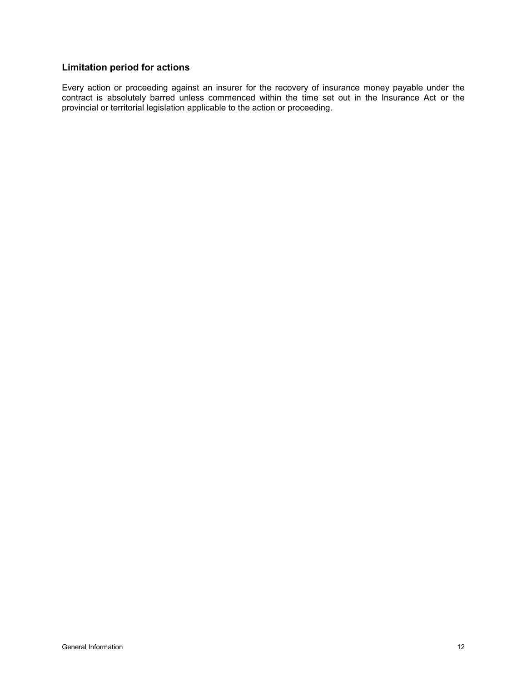## <span id="page-13-0"></span>**Limitation period for actions**

Every action or proceeding against an insurer for the recovery of insurance money payable under the contract is absolutely barred unless commenced within the time set out in the Insurance Act or the provincial or territorial legislation applicable to the action or proceeding.